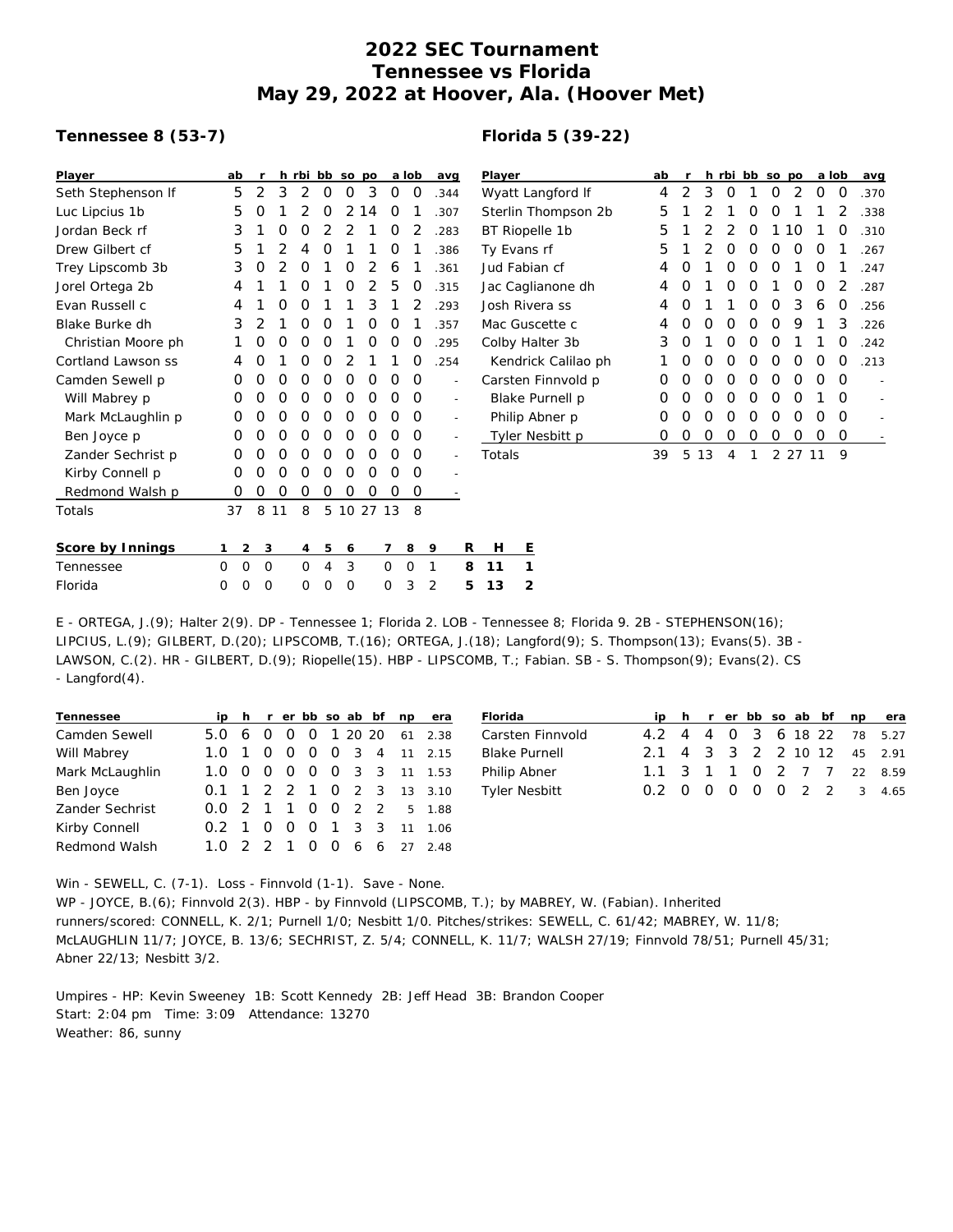## **2022 SEC Tournament Tennessee vs Florida May 29, 2022 at Hoover, Ala. (Hoover Met)**

## **Tennessee 8 (53-7)**

## **Florida 5 (39-22)**

| Player             | ab                         |                     |          | h rbi bb so po |          |          |            |          | a lob    | avg  |                          | Player              | ab |   |    |   |   | h rbi bb so po |         |   | a lob    | avg  |
|--------------------|----------------------------|---------------------|----------|----------------|----------|----------|------------|----------|----------|------|--------------------------|---------------------|----|---|----|---|---|----------------|---------|---|----------|------|
| Seth Stephenson If | 5                          | 2                   | 3        | 2              | $\Omega$ | 0        | 3          | 0        | 0        | .344 |                          | Wyatt Langford If   |    | 2 | 3  | 0 |   | 0              | 2       | 0 | 0        | .370 |
| Luc Lipcius 1b     | 5                          | O                   |          |                | 0        |          | 2 14       | 0        |          | .307 |                          | Sterlin Thompson 2b | 5  |   |    |   | Ο | Ο              |         |   |          | .338 |
| Jordan Beck rf     | 3                          |                     | 0        | 0              |          |          |            | 0        |          | .283 |                          | BT Riopelle 1b      | 5  |   |    |   | O |                | 10      |   | O        | .310 |
| Drew Gilbert cf    | 5                          |                     |          | 4              | 0        |          |            | 0        |          | .386 |                          | Ty Evans rf         | 5  |   |    | Ο | Ο | 0              | 0       | O |          | .267 |
| Trey Lipscomb 3b   | 3                          | 0                   | 2        | 0              |          | $\Omega$ | 2          | 6        |          | .361 |                          | Jud Fabian cf       |    | Ω |    | Ο | Ο | Ο              |         | 0 |          | .247 |
| Jorel Ortega 2b    | 4                          |                     |          | 0              |          | 0        |            | 5        | O        | .315 |                          | Jac Caglianone dh   | 4  | O |    | 0 | Ο |                | 0       | 0 |          | .287 |
| Evan Russell c     | 4                          |                     | O        | O              |          |          | 3          |          |          | .293 |                          | Josh Rivera ss      | 4  | Ο |    |   | Ο | 0              | 3       | 6 | O        | .256 |
| Blake Burke dh     | 3                          |                     |          | 0              | O        |          | 0          | 0        |          | .357 |                          | Mac Guscette c      |    | 0 | O  | O | 0 | 0              | 9       |   | 3        | .226 |
| Christian Moore ph |                            | 0                   | 0        | O              | O        |          | $\Omega$   | $\Omega$ | O        | .295 |                          | Colby Halter 3b     | 3  | O |    | Ο | Ο | Ο              |         |   | O        | .242 |
| Cortland Lawson ss |                            | O                   |          | 0              | $\Omega$ |          |            |          | O        | .254 |                          | Kendrick Calilao ph |    | Ο | O  | 0 | Ο | Ο              | O       | 0 | O        | .213 |
| Camden Sewell p    | 0                          | 0                   | 0        | 0              | 0        | 0        | 0          | 0        | 0        |      | $\overline{\phantom{a}}$ | Carsten Finnvold p  | Ο  | 0 | Ο  | Ο | Ο | 0              | 0       | Ο | O        |      |
| Will Mabrey p      | 0                          | O                   | O        | O              | 0        | 0        | $\Omega$   | $\Omega$ | $\Omega$ |      | $\sim$                   | Blake Purnell p     | 0  |   | O  | Ο | Ο | Ο              | O       |   | O        | L,   |
| Mark McLaughlin p  | 0                          | 0                   | $\Omega$ | $\Omega$       | $\Omega$ | $\Omega$ | $\Omega$   | $\Omega$ | $\Omega$ |      | $\sim$                   | Philip Abner p      | 0  | Ο | 0  | 0 | 0 | 0              | O       | Ο | $\Omega$ | ÷,   |
| Ben Joyce p        | 0                          | 0                   | $\Omega$ | 0              | 0        | 0        | 0          | $\Omega$ | 0        |      | $\overline{\phantom{a}}$ | Tyler Nesbitt p     | 0  | 0 | 0  | 0 | 0 | 0              | 0       | 0 | 0        |      |
| Zander Sechrist p  | 0                          | Ο                   | 0        | $\Omega$       | 0        | 0        | $\Omega$   | 0        | $\Omega$ |      | $\sim$                   | Totals              | 39 | 5 | 13 | 4 |   |                | 2 27 11 |   | 9        |      |
| Kirby Connell p    | 0                          | 0                   | 0        | $\Omega$       | 0        | $\Omega$ | $\Omega$   | $\Omega$ | $\Omega$ |      |                          |                     |    |   |    |   |   |                |         |   |          |      |
| Redmond Walsh p    | 0                          | 0                   | $\Omega$ | 0              | 0        | 0        | 0          | 0        | 0        |      |                          |                     |    |   |    |   |   |                |         |   |          |      |
| Totals             | 37                         | 8                   | 11       | 8              |          |          | 5 10 27 13 |          | -8       |      |                          |                     |    |   |    |   |   |                |         |   |          |      |
| Score by Innings   |                            | $\overline{2}$<br>3 |          | 4              | 5        | 6        |            | 7        | 8        | 9    | R                        | H<br>Ε              |    |   |    |   |   |                |         |   |          |      |
| Tennessee          | $\overline{0}$<br>$\Omega$ | $\overline{0}$      |          | 0              | 4        | 3        |            | 0        | 0        | 1    | 8                        | 11                  |    |   |    |   |   |                |         |   |          |      |
| Florida            | 0<br>$\Omega$              | $\Omega$            |          | 0              | 0        | $\Omega$ |            | 0        | 3        | 2    | 5                        | 13<br>2             |    |   |    |   |   |                |         |   |          |      |

E - ORTEGA, J.(9); Halter 2(9). DP - Tennessee 1; Florida 2. LOB - Tennessee 8; Florida 9. 2B - STEPHENSON(16); LIPCIUS, L.(9); GILBERT, D.(20); LIPSCOMB, T.(16); ORTEGA, J.(18); Langford(9); S. Thompson(13); Evans(5). 3B - LAWSON, C.(2). HR - GILBERT, D.(9); Riopelle(15). HBP - LIPSCOMB, T.; Fabian. SB - S. Thompson(9); Evans(2). CS - Langford(4).

| Tennessee            |                       |                |            |                |                |  | ip h r er bb so ab bf np | era                       |
|----------------------|-----------------------|----------------|------------|----------------|----------------|--|--------------------------|---------------------------|
| Camden Sewell        | $5.0 \t6 \t0$         |                |            | $\Omega$       |                |  |                          | 0 1 20 20 61 2.38         |
| Will Mabrey          | 1.0                   | $\overline{1}$ | $\Omega$   | $\overline{0}$ |                |  |                          | 0 0 3 4 11 2.15           |
| Mark McLaughlin      |                       |                | $0\quad 0$ | $\circ$        |                |  |                          | 0 0 3 3 11 1.53           |
| Ben Joyce            |                       |                |            |                |                |  |                          | 0.1 1 2 2 1 0 2 3 13 3.10 |
| Zander Sechrist      |                       |                |            |                |                |  |                          | 0.0 2 1 1 0 0 2 2 5 1.88  |
| Kirby Connell        | $0.2 \pm 1$           |                | $\Omega$   | - 0            | $\overline{0}$ |  | 1 3 3 11                 | 1.06                      |
| <b>Redmond Walsh</b> | $1.0 \t2 \t2 \t1 \t0$ |                |            |                |                |  |                          | 0 6 6 27 2.48             |
|                      |                       |                |            |                |                |  |                          |                           |

| Florida              |                             |  |  |  |  | ip h r er bb so ab bf np era |
|----------------------|-----------------------------|--|--|--|--|------------------------------|
| Carsten Finnvold     |                             |  |  |  |  | 4.2 4 4 0 3 6 18 22 78 5.27  |
| <b>Blake Purnell</b> | 2.1 4 3 3 2 2 10 12 45 2.91 |  |  |  |  |                              |
| Philip Abner         |                             |  |  |  |  | 1.1 3 1 1 0 2 7 7 22 8.59    |
| <b>Tyler Nesbitt</b> |                             |  |  |  |  | 0.2 0 0 0 0 0 2 2 3 4.65     |

Win - SEWELL, C. (7-1). Loss - Finnvold (1-1). Save - None. WP - JOYCE, B.(6); Finnvold 2(3). HBP - by Finnvold (LIPSCOMB, T.); by MABREY, W. (Fabian). Inherited runners/scored: CONNELL, K. 2/1; Purnell 1/0; Nesbitt 1/0. Pitches/strikes: SEWELL, C. 61/42; MABREY, W. 11/8; McLAUGHLIN 11/7; JOYCE, B. 13/6; SECHRIST, Z. 5/4; CONNELL, K. 11/7; WALSH 27/19; Finnvold 78/51; Purnell 45/31; Abner 22/13; Nesbitt 3/2.

Umpires - HP: Kevin Sweeney 1B: Scott Kennedy 2B: Jeff Head 3B: Brandon Cooper Start: 2:04 pm Time: 3:09 Attendance: 13270 Weather: 86, sunny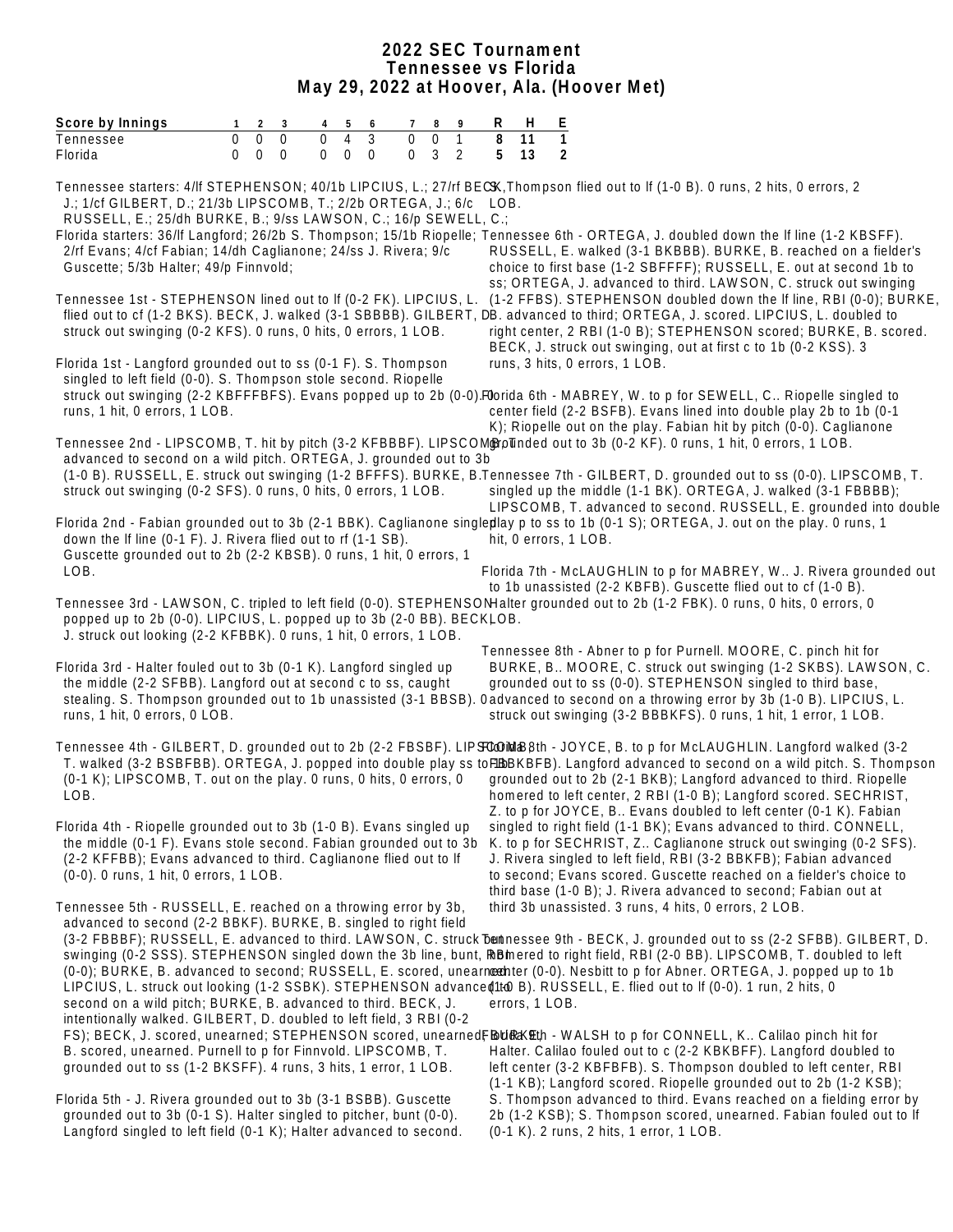## **2022 SEC Tournament Tennessee vs Florida May 29, 2022 at Hoover, Ala. (Hoover Met)**

| Score by Innings                                                                                                                                                                                                                                                           | 1                    | 2<br>3                                                | 4                          | 5                          | 6                          | 7                                            | 8 | 9                   | R      | H                     | E                   |                                                                                                                                                                                                                                                                                                                                                                                                                                                                                                                                                                                                      |
|----------------------------------------------------------------------------------------------------------------------------------------------------------------------------------------------------------------------------------------------------------------------------|----------------------|-------------------------------------------------------|----------------------------|----------------------------|----------------------------|----------------------------------------------|---|---------------------|--------|-----------------------|---------------------|------------------------------------------------------------------------------------------------------------------------------------------------------------------------------------------------------------------------------------------------------------------------------------------------------------------------------------------------------------------------------------------------------------------------------------------------------------------------------------------------------------------------------------------------------------------------------------------------------|
| Tennessee<br>Florida                                                                                                                                                                                                                                                       | $\Omega$<br>$\Omega$ | $\overline{0}$<br>$\mathbf 0$<br>$\Omega$<br>$\Omega$ | $\overline{0}$<br>$\Omega$ | $\overline{4}$<br>$\Omega$ | $\overline{3}$<br>$\Omega$ | $\overline{0}$<br>$\overline{0}$<br>$\Omega$ | 3 | $\overline{1}$<br>2 | 8<br>5 | 11<br>13              | $\overline{1}$<br>2 |                                                                                                                                                                                                                                                                                                                                                                                                                                                                                                                                                                                                      |
| J.; 1/cf GILBERT, D.; 21/3b LIPSCOMB, T.; 2/2b ORTEGA, J.; 6/c LOB.<br>RUSSELL, E.; 25/dh BURKE, B.; 9/ss LAWSON, C.; 16/p SEWELL, C.;<br>2/rf Evans; 4/cf Fabian; 14/dh Caglianone; 24/ss J. Rivera; 9/c<br>Guscette; 5/3b Halter; 49/p Finnvold;                         |                      |                                                       |                            |                            |                            |                                              |   |                     |        |                       |                     | Tennessee starters: 4/If STEPHENSON; 40/1b LIPCIUS, L.; 27/rf BECK, Thompson flied out to If (1-0 B). 0 runs, 2 hits, 0 errors, 2<br>Florida starters: 36/lf Langford; 26/2b S. Thompson; 15/1b Riopelle; Tennessee 6th - ORTEGA, J. doubled down the If line (1-2 KBSFF).<br>RUSSELL, E. walked (3-1 BKBBB). BURKE, B. reached on a fielder's<br>choice to first base (1-2 SBFFFF); RUSSELL, E. out at second 1b to                                                                                                                                                                                 |
| Tennessee 1st - STEPHENSON lined out to If (0-2 FK). LIPCIUS, L.<br>struck out swinging (0-2 KFS). 0 runs, 0 hits, 0 errors, 1 LOB.                                                                                                                                        |                      |                                                       |                            |                            |                            |                                              |   |                     |        |                       |                     | ss; ORTEGA, J. advanced to third. LAWSON, C. struck out swinging<br>(1-2 FFBS). STEPHENSON doubled down the If line, RBI (0-0); BURKE,<br>flied out to cf (1-2 BKS). BECK, J. walked (3-1 SBBBB). GILBERT, DB. advanced to third; ORTEGA, J. scored. LIPCIUS, L. doubled to<br>right center, 2 RBI (1-0 B); STEPHENSON scored; BURKE, B. scored.<br>BECK, J. struck out swinging, out at first c to 1b (0-2 KSS). 3                                                                                                                                                                                  |
| Florida 1st - Langford grounded out to ss (0-1 F). S. Thompson<br>singled to left field (0-0). S. Thompson stole second. Riopelle<br>runs, 1 hit, 0 errors, 1 LOB.                                                                                                         |                      |                                                       |                            |                            |                            |                                              |   |                     |        |                       |                     | runs, 3 hits, 0 errors, 1 LOB.<br>struck out swinging (2-2 KBFFFBFS). Evans popped up to 2b (0-0). Florida 6th - MABREY, W. to p for SEWELL, C Riopelle singled to<br>center field (2-2 BSFB). Evans lined into double play 2b to 1b (0-1<br>K); Riopelle out on the play. Fabian hit by pitch (0-0). Caglianone                                                                                                                                                                                                                                                                                     |
| advanced to second on a wild pitch. ORTEGA, J. grounded out to 3b<br>struck out swinging (0-2 SFS). 0 runs, 0 hits, 0 errors, 1 LOB.                                                                                                                                       |                      |                                                       |                            |                            |                            |                                              |   |                     |        |                       |                     | Tennessee 2nd - LIPSCOMB, T. hit by pitch (3-2 KFBBBF). LIPSCOMBollnded out to 3b (0-2 KF). 0 runs, 1 hit, 0 errors, 1 LOB.<br>(1-0 B). RUSSELL, E. struck out swinging (1-2 BFFFS). BURKE, B.Tennessee 7th - GILBERT, D. grounded out to ss (0-0). LIPSCOMB, T.<br>singled up the middle (1-1 BK). ORTEGA, J. walked (3-1 FBBBB);<br>LIPSCOMB, T. advanced to second. RUSSELL, E. grounded into double                                                                                                                                                                                              |
| down the If line (0-1 F). J. Rivera flied out to rf (1-1 SB).<br>Guscette grounded out to 2b (2-2 KBSB). 0 runs, 1 hit, 0 errors, 1<br>LOB.                                                                                                                                |                      |                                                       |                            |                            |                            |                                              |   |                     |        | hit, 0 errors, 1 LOB. |                     | Florida 2nd - Fabian grounded out to 3b (2-1 BBK). Caglianone singlepllay p to ss to 1b (0-1 S); ORTEGA, J. out on the play. 0 runs, 1<br>Florida 7th - McLAUGHLIN to p for MABREY, W J. Rivera grounded out                                                                                                                                                                                                                                                                                                                                                                                         |
| popped up to 2b (0-0). LIPCIUS, L. popped up to 3b (2-0 BB). BECKLOB.<br>J. struck out looking (2-2 KFBBK). 0 runs, 1 hit, 0 errors, 1 LOB.                                                                                                                                |                      |                                                       |                            |                            |                            |                                              |   |                     |        |                       |                     | to 1b unassisted (2-2 KBFB). Guscette flied out to cf (1-0 B).<br>Tennessee 3rd - LAWSON, C. tripled to left field (0-0). STEPHENSONHalter grounded out to 2b (1-2 FBK). 0 runs, 0 hits, 0 errors, 0<br>Tennessee 8th - Abner to p for Purnell. MOORE, C. pinch hit for                                                                                                                                                                                                                                                                                                                              |
| Florida 3rd - Halter fouled out to 3b (0-1 K). Langford singled up<br>the middle (2-2 SFBB). Langford out at second c to ss, caught<br>runs, 1 hit, 0 errors, 0 LOB.                                                                                                       |                      |                                                       |                            |                            |                            |                                              |   |                     |        |                       |                     | BURKE, B MOORE, C. struck out swinging (1-2 SKBS). LAWSON, C.<br>grounded out to ss (0-0). STEPHENSON singled to third base,<br>stealing. S. Thompson grounded out to 1b unassisted (3-1 BBSB). 0advanced to second on a throwing error by 3b (1-0 B). LIPCIUS, L.<br>struck out swinging (3-2 BBBKFS). 0 runs, 1 hit, 1 error, 1 LOB.                                                                                                                                                                                                                                                               |
| (0-1 K); LIPSCOMB, T. out on the play. 0 runs, 0 hits, 0 errors, 0<br>LOB.                                                                                                                                                                                                 |                      |                                                       |                            |                            |                            |                                              |   |                     |        |                       |                     | Tennessee 4th - GILBERT, D. grounded out to 2b (2-2 FBSBF). LIPS TOMMER Bth - JOYCE, B. to p for McLAUGHLIN. Langford walked (3-2<br>T. walked (3-2 BSBFBB). ORTEGA, J. popped into double play ss to FIBBKBFB). Langford advanced to second on a wild pitch. S. Thompson<br>grounded out to 2b (2-1 BKB); Langford advanced to third. Riopelle<br>homered to left center, 2 RBI (1-0 B); Langford scored. SECHRIST,<br>Z. to p for JOYCE, B Evans doubled to left center (0-1 K). Fabian                                                                                                            |
| Florida 4th - Riopelle grounded out to 3b (1-0 B). Evans singled up<br>the middle (0-1 F). Evans stole second. Fabian grounded out to 3b<br>(2-2 KFFBB); Evans advanced to third. Caglianone flied out to If<br>(0-0). 0 runs, 1 hit, 0 errors, 1 LOB.                     |                      |                                                       |                            |                            |                            |                                              |   |                     |        |                       |                     | singled to right field (1-1 BK); Evans advanced to third. CONNELL,<br>K. to p for SECHRIST, Z Caglianone struck out swinging (0-2 SFS).<br>J. Rivera singled to left field, RBI (3-2 BBKFB); Fabian advanced<br>to second; Evans scored. Guscette reached on a fielder's choice to<br>third base (1-0 B); J. Rivera advanced to second; Fabian out at                                                                                                                                                                                                                                                |
| Tennessee 5th - RUSSELL, E. reached on a throwing error by 3b,<br>advanced to second (2-2 BBKF). BURKE, B. singled to right field<br>second on a wild pitch; BURKE, B. advanced to third. BECK, J.<br>intentionally walked. GILBERT, D. doubled to left field, 3 RBI (0-2) |                      |                                                       |                            |                            |                            |                                              |   |                     |        | errors, 1 LOB.        |                     | third 3b unassisted. 3 runs, 4 hits, 0 errors, 2 LOB.<br>(3-2 FBBBF); RUSSELL, E. advanced to third. LAWSON, C. struck bethnessee 9th - BECK, J. grounded out to ss (2-2 SFBB). GILBERT, D.<br>swinging (0-2 SSS). STEPHENSON singled down the 3b line, bunt, RBI mered to right field, RBI (2-0 BB). LIPSCOMB, T. doubled to left<br>(0-0); BURKE, B. advanced to second; RUSSELL, E. scored, unearneethter (0-0). Nesbitt to p for Abner. ORTEGA, J. popped up to 1b<br>LIPCIUS, L. struck out looking (1-2 SSBK). STEPHENSON advance (1to B). RUSSELL, E. flied out to If (0-0). 1 run, 2 hits, 0 |
| B. scored, unearned. Purnell to p for Finnvold. LIPSCOMB, T.<br>grounded out to ss (1-2 BKSFF). 4 runs, 3 hits, 1 error, 1 LOB.                                                                                                                                            |                      |                                                       |                            |                            |                            |                                              |   |                     |        |                       |                     | FS); BECK, J. scored, unearned; STEPHENSON scored, unearnedFBbdBXEth - WALSH to p for CONNELL, K Calilao pinch hit for<br>Halter. Calilao fouled out to c (2-2 KBKBFF). Langford doubled to<br>left center (3-2 KBFBFB). S. Thompson doubled to left center, RBI<br>(1-1 KB); Langford scored. Riopelle grounded out to 2b (1-2 KSB);                                                                                                                                                                                                                                                                |
| Florida 5th - J. Rivera grounded out to 3b (3-1 BSBB). Guscette<br>grounded out to 3b (0-1 S). Halter singled to pitcher, bunt (0-0).                                                                                                                                      |                      |                                                       |                            |                            |                            |                                              |   |                     |        |                       |                     | S. Thompson advanced to third. Evans reached on a fielding error by<br>2b (1-2 KSB); S. Thompson scored, unearned. Fabian fouled out to If                                                                                                                                                                                                                                                                                                                                                                                                                                                           |

 Langford singled to left field (0-1 K); Halter advanced to second. (0-1 K). 2 runs, 2 hits, 1 error, 1 LOB.